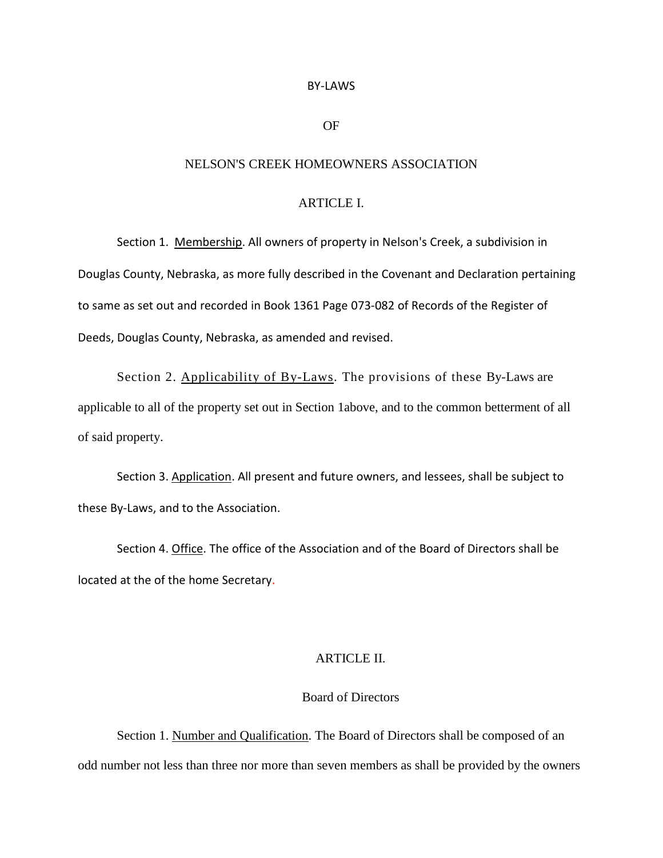#### BY-LAWS

## OF

### NELSON'S CREEK HOMEOWNERS ASSOCIATION

# ARTICLE I.

Section 1. Membership. All owners of property in Nelson's Creek, a subdivision in Douglas County, Nebraska, as more fully described in the Covenant and Declaration pertaining to same as set out and recorded in Book 1361 Page 073-082 of Records of the Register of Deeds, Douglas County, Nebraska, as amended and revised.

Section 2. Applicability of By-Laws. The provisions of these By-Laws are applicable to all of the property set out in Section 1above, and to the common betterment of all of said property.

Section 3. Application. All present and future owners, and lessees, shall be subject to these By-Laws, and to the Association.

Section 4. Office. The office of the Association and of the Board of Directors shall be located at the of the home Secretary.

#### ARTICLE II.

## Board of Directors

Section 1. Number and Qualification. The Board of Directors shall be composed of an odd number not less than three nor more than seven members as shall be provided by the owners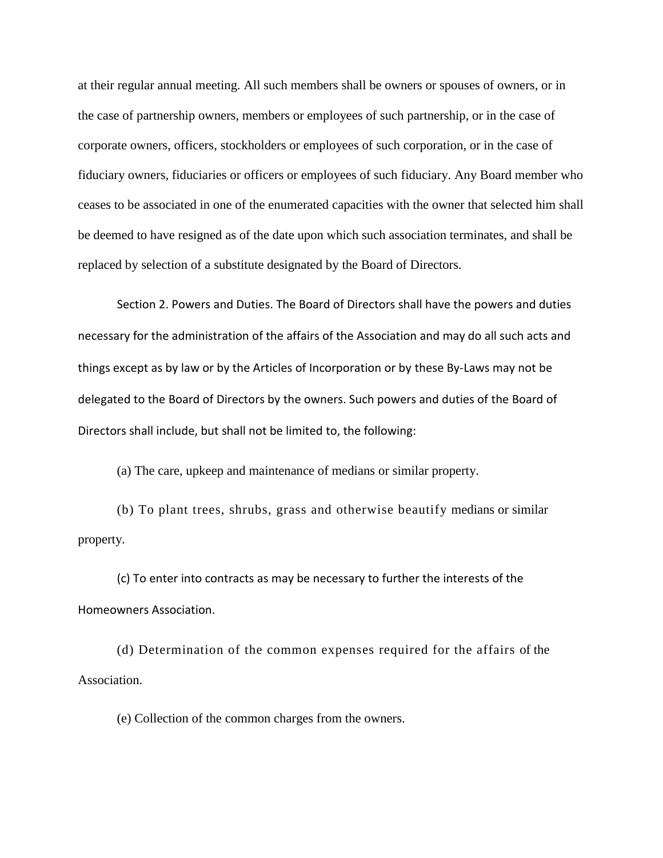at their regular annual meeting. All such members shall be owners or spouses of owners, or in the case of partnership owners, members or employees of such partnership, or in the case of corporate owners, officers, stockholders or employees of such corporation, or in the case of fiduciary owners, fiduciaries or officers or employees of such fiduciary. Any Board member who ceases to be associated in one of the enumerated capacities with the owner that selected him shall be deemed to have resigned as of the date upon which such association terminates, and shall be replaced by selection of a substitute designated by the Board of Directors.

Section 2. Powers and Duties. The Board of Directors shall have the powers and duties necessary for the administration of the affairs of the Association and may do all such acts and things except as by law or by the Articles of Incorporation or by these By-Laws may not be delegated to the Board of Directors by the owners. Such powers and duties of the Board of Directors shall include, but shall not be limited to, the following:

(a) The care, upkeep and maintenance of medians or similar property.

(b) To plant trees, shrubs, grass and otherwise beautify medians or similar property.

(c) To enter into contracts as may be necessary to further the interests of the Homeowners Association.

(d) Determination of the common expenses required for the affairs of the Association.

(e) Collection of the common charges from the owners.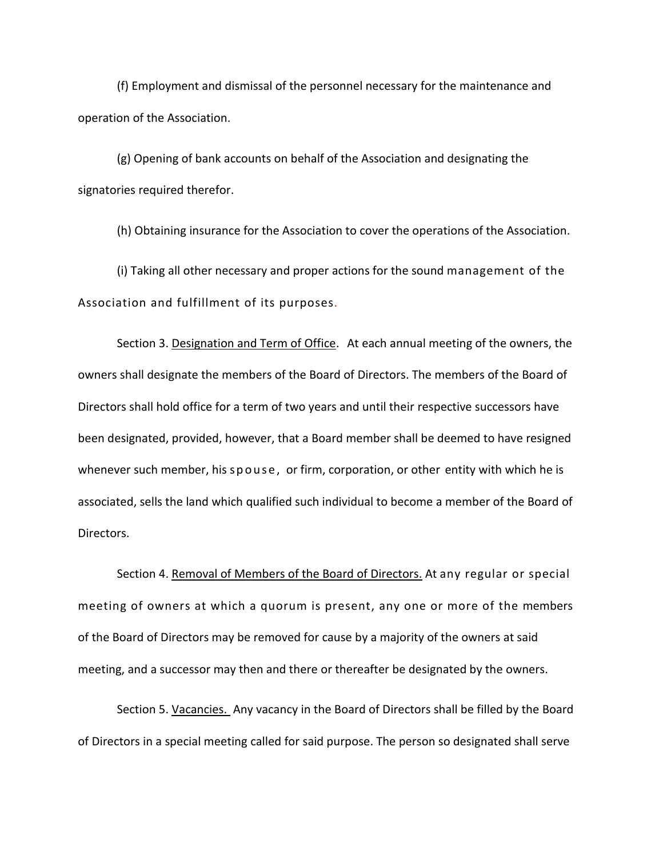(f) Employment and dismissal of the personnel necessary for the maintenance and operation of the Association.

(g) Opening of bank accounts on behalf of the Association and designating the signatories required therefor.

(h) Obtaining insurance for the Association to cover the operations of the Association.

(i) Taking all other necessary and proper actions for the sound management of the Association and fulfillment of its purposes.

Section 3. Designation and Term of Office. At each annual meeting of the owners, the owners shall designate the members of the Board of Directors. The members of the Board of Directors shall hold office for a term of two years and until their respective successors have been designated, provided, however, that a Board member shall be deemed to have resigned whenever such member, his spouse, or firm, corporation, or other entity with which he is associated, sells the land which qualified such individual to become a member of the Board of Directors.

Section 4. Removal of Members of the Board of Directors. At any regular or special meeting of owners at which a quorum is present, any one or more of the members of the Board of Directors may be removed for cause by a majority of the owners at said meeting, and a successor may then and there or thereafter be designated by the owners.

Section 5. Vacancies. Any vacancy in the Board of Directors shall be filled by the Board of Directors in a special meeting called for said purpose. The person so designated shall serve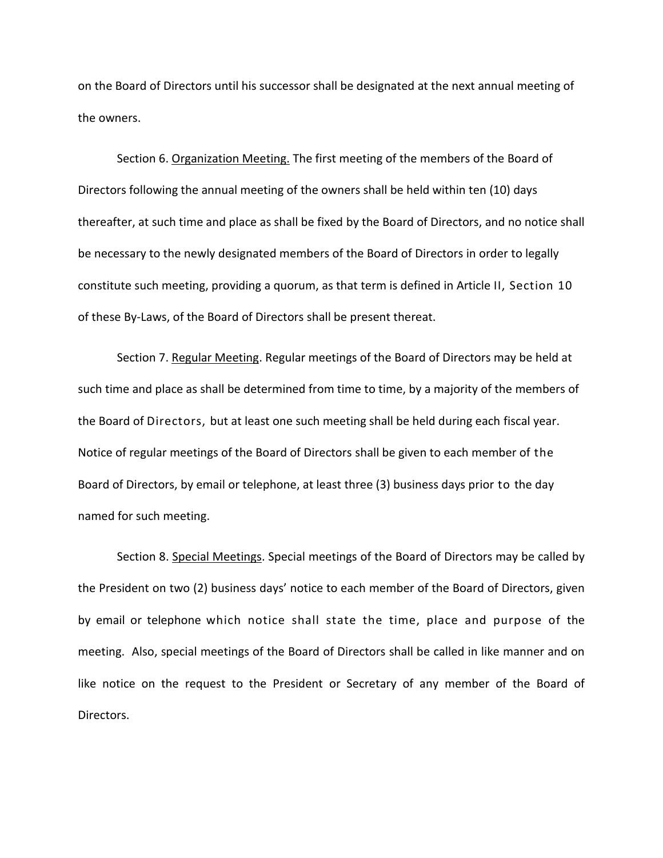on the Board of Directors until his successor shall be designated at the next annual meeting of the owners.

Section 6. Organization Meeting. The first meeting of the members of the Board of Directors following the annual meeting of the owners shall be held within ten (10) days thereafter, at such time and place as shall be fixed by the Board of Directors, and no notice shall be necessary to the newly designated members of the Board of Directors in order to legally constitute such meeting, providing a quorum, as that term is defined in Article II, Section 10 of these By-Laws, of the Board of Directors shall be present thereat.

Section 7. Regular Meeting. Regular meetings of the Board of Directors may be held at such time and place as shall be determined from time to time, by a majority of the members of the Board of Directors, but at least one such meeting shall be held during each fiscal year. Notice of regular meetings of the Board of Directors shall be given to each member of the Board of Directors, by email or telephone, at least three (3) business days prior to the day named for such meeting.

Section 8. Special Meetings. Special meetings of the Board of Directors may be called by the President on two (2) business days' notice to each member of the Board of Directors, given by email or telephone which notice shall state the time, place and purpose of the meeting. Also, special meetings of the Board of Directors shall be called in like manner and on like notice on the request to the President or Secretary of any member of the Board of Directors.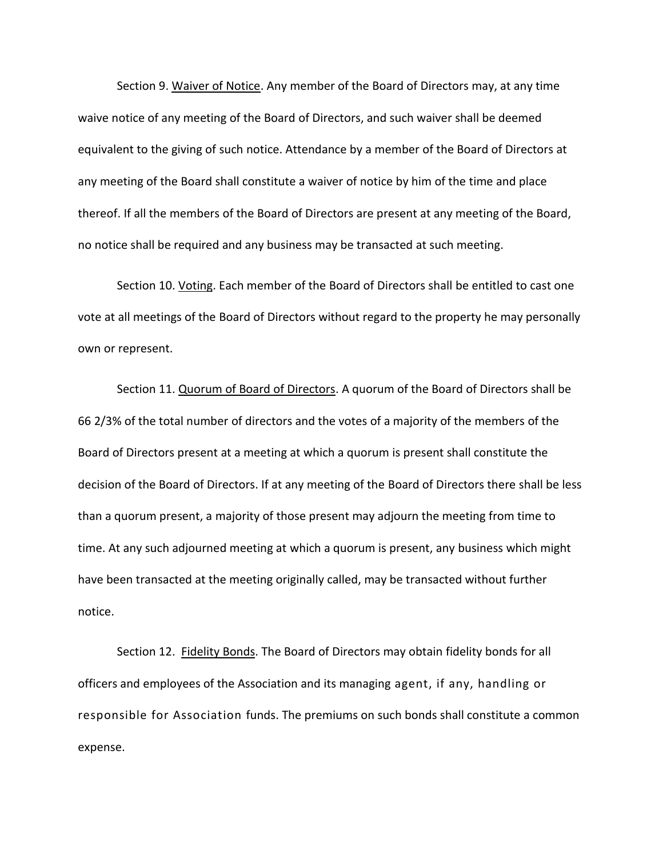Section 9. Waiver of Notice. Any member of the Board of Directors may, at any time waive notice of any meeting of the Board of Directors, and such waiver shall be deemed equivalent to the giving of such notice. Attendance by a member of the Board of Directors at any meeting of the Board shall constitute a waiver of notice by him of the time and place thereof. If all the members of the Board of Directors are present at any meeting of the Board, no notice shall be required and any business may be transacted at such meeting.

Section 10. Voting. Each member of the Board of Directors shall be entitled to cast one vote at all meetings of the Board of Directors without regard to the property he may personally own or represent.

Section 11. Quorum of Board of Directors. A quorum of the Board of Directors shall be 66 2/3% of the total number of directors and the votes of a majority of the members of the Board of Directors present at a meeting at which a quorum is present shall constitute the decision of the Board of Directors. If at any meeting of the Board of Directors there shall be less than a quorum present, a majority of those present may adjourn the meeting from time to time. At any such adjourned meeting at which a quorum is present, any business which might have been transacted at the meeting originally called, may be transacted without further notice.

Section 12. Fidelity Bonds. The Board of Directors may obtain fidelity bonds for all officers and employees of the Association and its managing agent, if any, handling or responsible for Association funds. The premiums on such bonds shall constitute a common expense.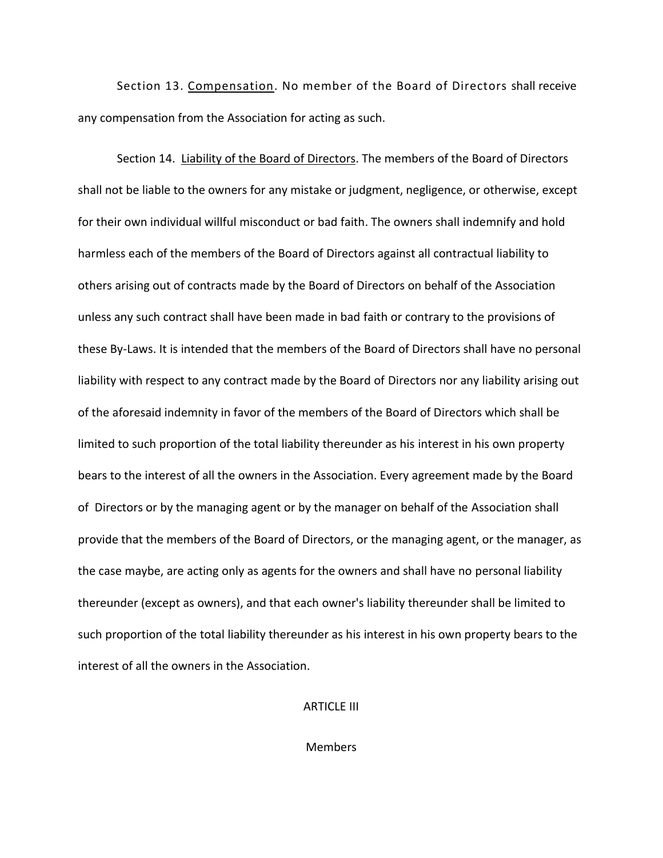Section 13. Compensation. No member of the Board of Directors shall receive any compensation from the Association for acting as such.

Section 14. Liability of the Board of Directors. The members of the Board of Directors shall not be liable to the owners for any mistake or judgment, negligence, or otherwise, except for their own individual willful misconduct or bad faith. The owners shall indemnify and hold harmless each of the members of the Board of Directors against all contractual liability to others arising out of contracts made by the Board of Directors on behalf of the Association unless any such contract shall have been made in bad faith or contrary to the provisions of these By-Laws. It is intended that the members of the Board of Directors shall have no personal liability with respect to any contract made by the Board of Directors nor any liability arising out of the aforesaid indemnity in favor of the members of the Board of Directors which shall be limited to such proportion of the total liability thereunder as his interest in his own property bears to the interest of all the owners in the Association. Every agreement made by the Board of Directors or by the managing agent or by the manager on behalf of the Association shall provide that the members of the Board of Directors, or the managing agent, or the manager, as the case maybe, are acting only as agents for the owners and shall have no personal liability thereunder (except as owners), and that each owner's liability thereunder shall be limited to such proportion of the total liability thereunder as his interest in his own property bears to the interest of all the owners in the Association.

#### ARTICLE III

**Members**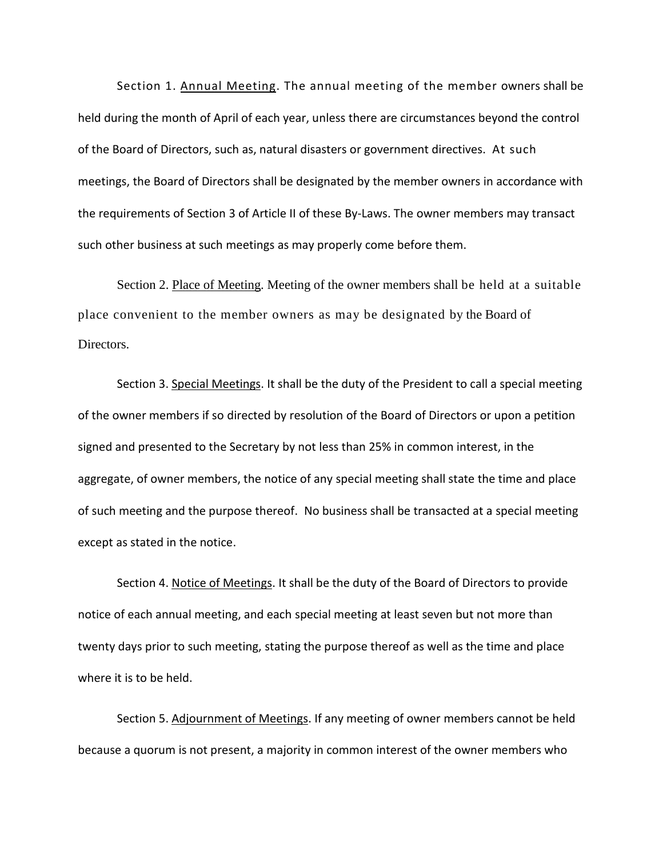Section 1. Annual Meeting. The annual meeting of the member owners shall be held during the month of April of each year, unless there are circumstances beyond the control of the Board of Directors, such as, natural disasters or government directives. At such meetings, the Board of Directors shall be designated by the member owners in accordance with the requirements of Section 3 of Article II of these By-Laws. The owner members may transact such other business at such meetings as may properly come before them.

Section 2. Place of Meeting. Meeting of the owner members shall be held at a suitable place convenient to the member owners as may be designated by the Board of Directors.

Section 3. Special Meetings. It shall be the duty of the President to call a special meeting of the owner members if so directed by resolution of the Board of Directors or upon a petition signed and presented to the Secretary by not less than 25% in common interest, in the aggregate, of owner members, the notice of any special meeting shall state the time and place of such meeting and the purpose thereof. No business shall be transacted at a special meeting except as stated in the notice.

Section 4. Notice of Meetings. It shall be the duty of the Board of Directors to provide notice of each annual meeting, and each special meeting at least seven but not more than twenty days prior to such meeting, stating the purpose thereof as well as the time and place where it is to be held.

Section 5. Adjournment of Meetings. If any meeting of owner members cannot be held because a quorum is not present, a majority in common interest of the owner members who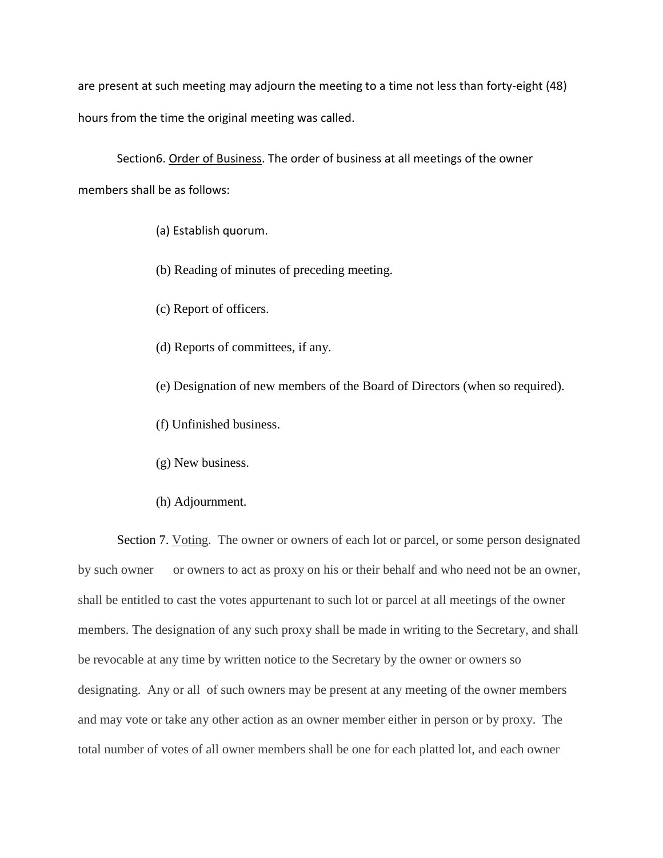are present at such meeting may adjourn the meeting to a time not less than forty-eight (48) hours from the time the original meeting was called.

Section6. Order of Business. The order of business at all meetings of the owner members shall be as follows:

- (a) Establish quorum.
- (b) Reading of minutes of preceding meeting.
- (c) Report of officers.
- (d) Reports of committees, if any.
- (e) Designation of new members of the Board of Directors (when so required).
- (f) Unfinished business.
- (g) New business.
- (h) Adjournment.

Section 7. Voting. The owner or owners of each lot or parcel, or some person designated by such owner or owners to act as proxy on his or their behalf and who need not be an owner, shall be entitled to cast the votes appurtenant to such lot or parcel at all meetings of the owner members. The designation of any such proxy shall be made in writing to the Secretary, and shall be revocable at any time by written notice to the Secretary by the owner or owners so designating. Any or all of such owners may be present at any meeting of the owner members and may vote or take any other action as an owner member either in person or by proxy. The total number of votes of all owner members shall be one for each platted lot, and each owner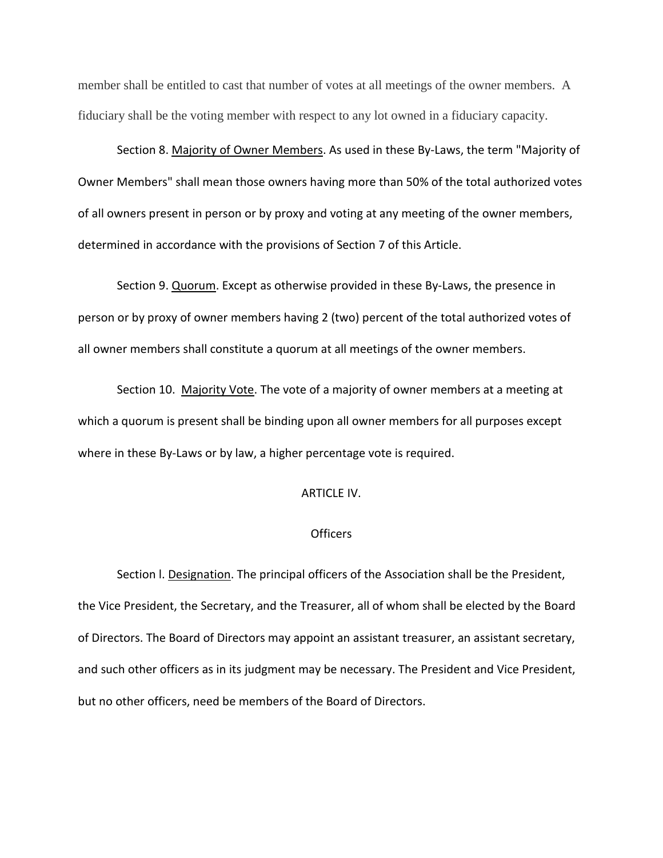member shall be entitled to cast that number of votes at all meetings of the owner members. A fiduciary shall be the voting member with respect to any lot owned in a fiduciary capacity.

Section 8. Majority of Owner Members. As used in these By-Laws, the term "Majority of Owner Members" shall mean those owners having more than 50% of the total authorized votes of all owners present in person or by proxy and voting at any meeting of the owner members, determined in accordance with the provisions of Section 7 of this Article.

Section 9. Quorum. Except as otherwise provided in these By-Laws, the presence in person or by proxy of owner members having 2 (two) percent of the total authorized votes of all owner members shall constitute a quorum at all meetings of the owner members.

Section 10. Majority Vote. The vote of a majority of owner members at a meeting at which a quorum is present shall be binding upon all owner members for all purposes except where in these By-Laws or by law, a higher percentage vote is required.

#### ARTICLE IV.

### **Officers**

Section l. Designation. The principal officers of the Association shall be the President, the Vice President, the Secretary, and the Treasurer, all of whom shall be elected by the Board of Directors. The Board of Directors may appoint an assistant treasurer, an assistant secretary, and such other officers as in its judgment may be necessary. The President and Vice President, but no other officers, need be members of the Board of Directors.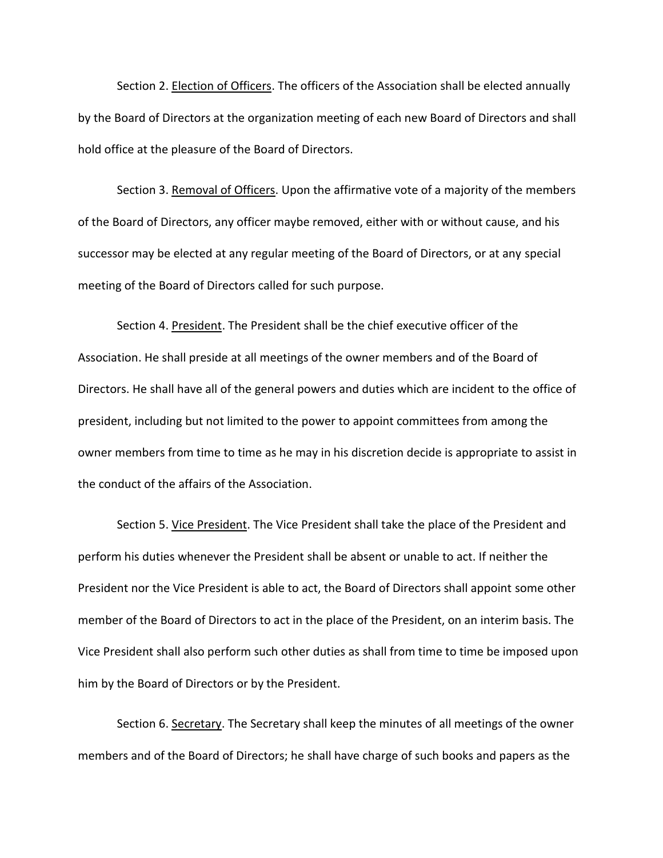Section 2. Election of Officers. The officers of the Association shall be elected annually by the Board of Directors at the organization meeting of each new Board of Directors and shall hold office at the pleasure of the Board of Directors.

Section 3. Removal of Officers. Upon the affirmative vote of a majority of the members of the Board of Directors, any officer maybe removed, either with or without cause, and his successor may be elected at any regular meeting of the Board of Directors, or at any special meeting of the Board of Directors called for such purpose.

Section 4. President. The President shall be the chief executive officer of the Association. He shall preside at all meetings of the owner members and of the Board of Directors. He shall have all of the general powers and duties which are incident to the office of president, including but not limited to the power to appoint committees from among the owner members from time to time as he may in his discretion decide is appropriate to assist in the conduct of the affairs of the Association.

Section 5. Vice President. The Vice President shall take the place of the President and perform his duties whenever the President shall be absent or unable to act. If neither the President nor the Vice President is able to act, the Board of Directors shall appoint some other member of the Board of Directors to act in the place of the President, on an interim basis. The Vice President shall also perform such other duties as shall from time to time be imposed upon him by the Board of Directors or by the President.

Section 6. Secretary. The Secretary shall keep the minutes of all meetings of the owner members and of the Board of Directors; he shall have charge of such books and papers as the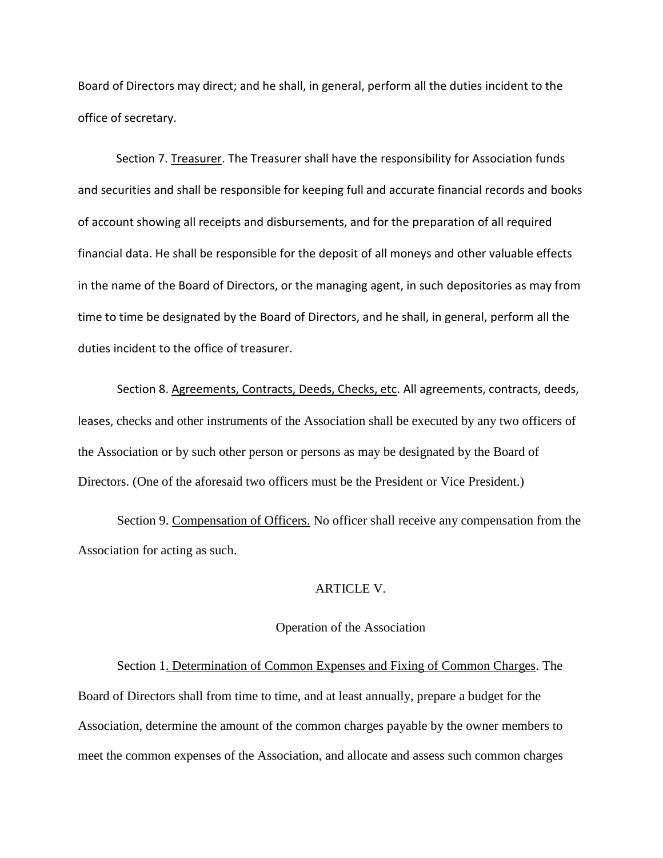Board of Directors may direct; and he shall, in general, perform all the duties incident to the office of secretary.

Section 7. Treasurer. The Treasurer shall have the responsibility for Association funds and securities and shall be responsible for keeping full and accurate financial records and books of account showing all receipts and disbursements, and for the preparation of all required financial data. He shall be responsible for the deposit of all moneys and other valuable effects in the name of the Board of Directors, or the managing agent, in such depositories as may from time to time be designated by the Board of Directors, and he shall, in general, perform all the duties incident to the office of treasurer.

Section 8. Agreements, Contracts, Deeds, Checks, etc. All agreements, contracts, deeds, leases, checks and other instruments of the Association shall be executed by any two officers of the Association or by such other person or persons as may be designated by the Board of Directors. (One of the aforesaid two officers must be the President or Vice President.)

Section 9. Compensation of Officers. No officer shall receive any compensation from the Association for acting as such.

### ARTICLE V.

### Operation of the Association

Section 1. Determination of Common Expenses and Fixing of Common Charges. The Board of Directors shall from time to time, and at least annually, prepare a budget for the Association, determine the amount of the common charges payable by the owner members to meet the common expenses of the Association, and allocate and assess such common charges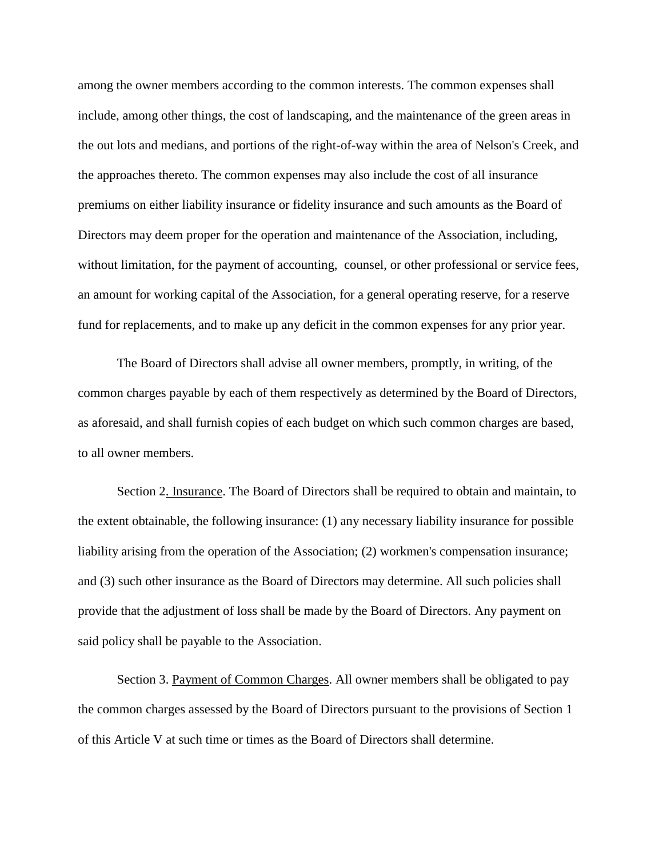among the owner members according to the common interests. The common expenses shall include, among other things, the cost of landscaping, and the maintenance of the green areas in the out lots and medians, and portions of the right-of-way within the area of Nelson's Creek, and the approaches thereto. The common expenses may also include the cost of all insurance premiums on either liability insurance or fidelity insurance and such amounts as the Board of Directors may deem proper for the operation and maintenance of the Association, including, without limitation, for the payment of accounting, counsel, or other professional or service fees, an amount for working capital of the Association, for a general operating reserve, for a reserve fund for replacements, and to make up any deficit in the common expenses for any prior year.

The Board of Directors shall advise all owner members, promptly, in writing, of the common charges payable by each of them respectively as determined by the Board of Directors, as aforesaid, and shall furnish copies of each budget on which such common charges are based, to all owner members.

Section 2. Insurance. The Board of Directors shall be required to obtain and maintain, to the extent obtainable, the following insurance: (1) any necessary liability insurance for possible liability arising from the operation of the Association; (2) workmen's compensation insurance; and (3) such other insurance as the Board of Directors may determine. All such policies shall provide that the adjustment of loss shall be made by the Board of Directors. Any payment on said policy shall be payable to the Association.

Section 3. Payment of Common Charges. All owner members shall be obligated to pay the common charges assessed by the Board of Directors pursuant to the provisions of Section 1 of this Article V at such time or times as the Board of Directors shall determine.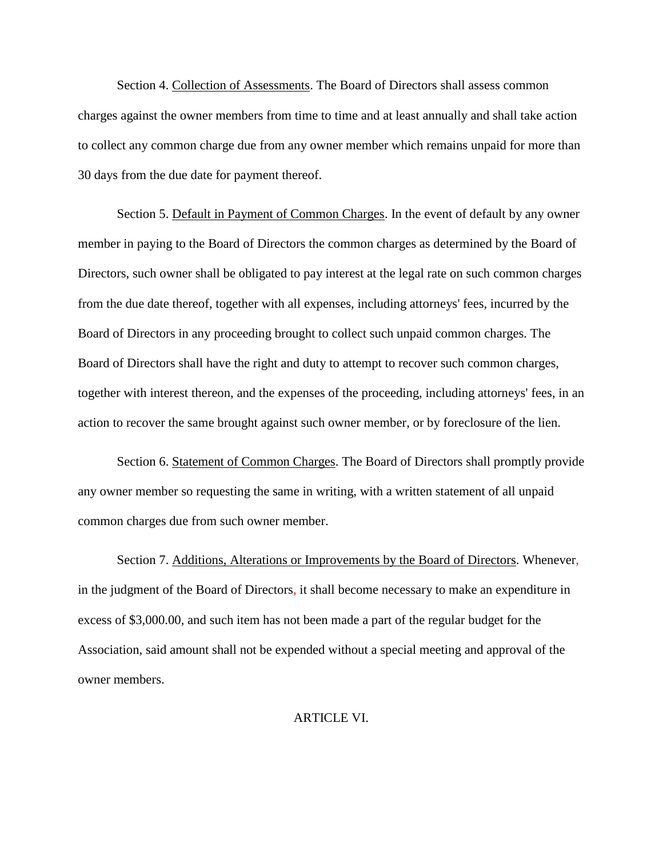Section 4. Collection of Assessments. The Board of Directors shall assess common charges against the owner members from time to time and at least annually and shall take action to collect any common charge due from any owner member which remains unpaid for more than 30 days from the due date for payment thereof.

Section 5. Default in Payment of Common Charges. In the event of default by any owner member in paying to the Board of Directors the common charges as determined by the Board of Directors, such owner shall be obligated to pay interest at the legal rate on such common charges from the due date thereof, together with all expenses, including attorneys' fees, incurred by the Board of Directors in any proceeding brought to collect such unpaid common charges. The Board of Directors shall have the right and duty to attempt to recover such common charges, together with interest thereon, and the expenses of the proceeding, including attorneys' fees, in an action to recover the same brought against such owner member, or by foreclosure of the lien.

Section 6. Statement of Common Charges. The Board of Directors shall promptly provide any owner member so requesting the same in writing, with a written statement of all unpaid common charges due from such owner member.

Section 7. Additions, Alterations or Improvements by the Board of Directors. Whenever, in the judgment of the Board of Directors, it shall become necessary to make an expenditure in excess of \$3,000.00, and such item has not been made a part of the regular budget for the Association, said amount shall not be expended without a special meeting and approval of the owner members.

ARTICLE VI.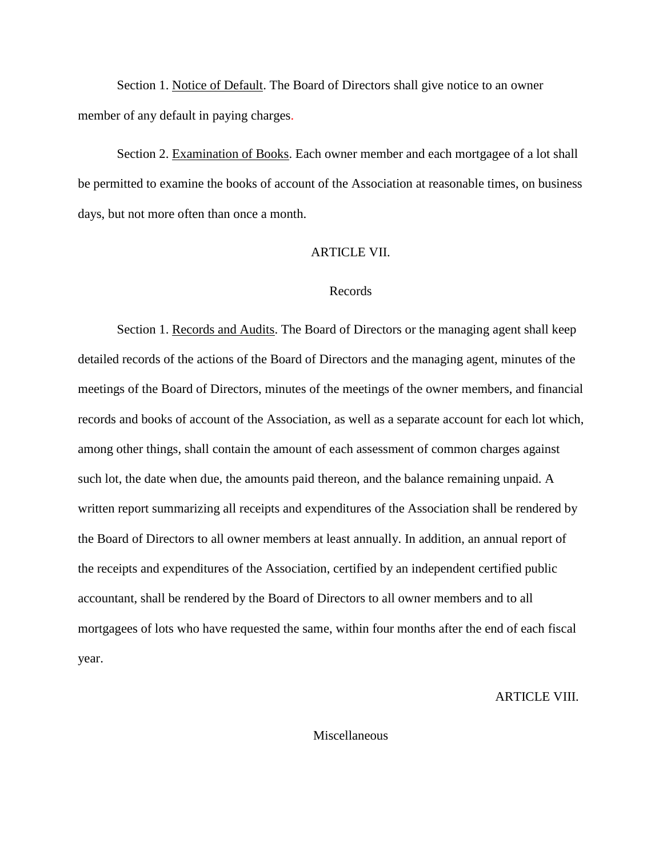Section 1. Notice of Default. The Board of Directors shall give notice to an owner member of any default in paying charges.

Section 2. Examination of Books. Each owner member and each mortgagee of a lot shall be permitted to examine the books of account of the Association at reasonable times, on business days, but not more often than once a month.

#### ARTICLE VII.

### Records

Section 1. Records and Audits. The Board of Directors or the managing agent shall keep detailed records of the actions of the Board of Directors and the managing agent, minutes of the meetings of the Board of Directors, minutes of the meetings of the owner members, and financial records and books of account of the Association, as well as a separate account for each lot which, among other things, shall contain the amount of each assessment of common charges against such lot, the date when due, the amounts paid thereon, and the balance remaining unpaid. A written report summarizing all receipts and expenditures of the Association shall be rendered by the Board of Directors to all owner members at least annually. In addition, an annual report of the receipts and expenditures of the Association, certified by an independent certified public accountant, shall be rendered by the Board of Directors to all owner members and to all mortgagees of lots who have requested the same, within four months after the end of each fiscal year.

# ARTICLE VIII.

## Miscellaneous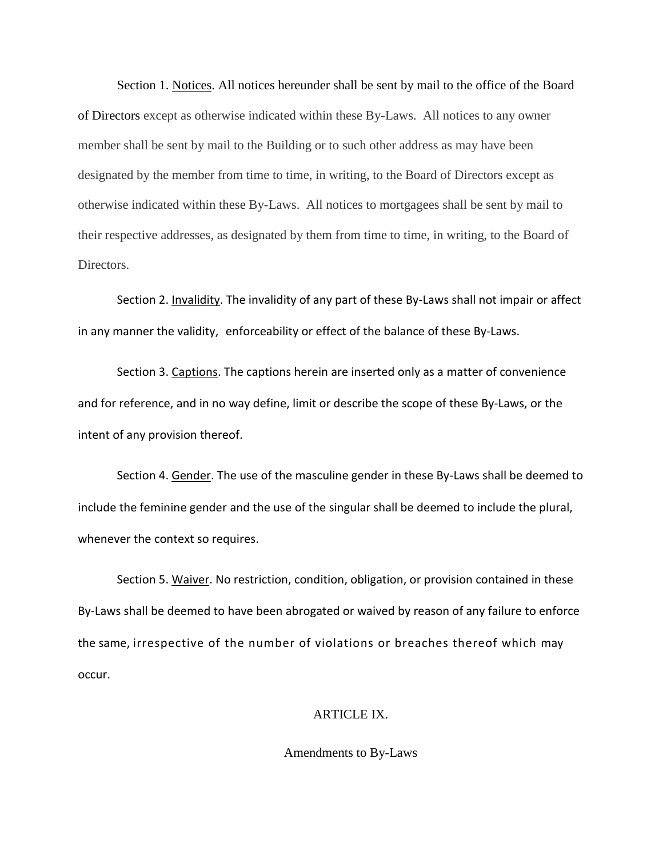Section 1. Notices. All notices hereunder shall be sent by mail to the office of the Board of Directors except as otherwise indicated within these By-Laws. All notices to any owner member shall be sent by mail to the Building or to such other address as may have been designated by the member from time to time, in writing, to the Board of Directors except as otherwise indicated within these By-Laws. All notices to mortgagees shall be sent by mail to their respective addresses, as designated by them from time to time, in writing, to the Board of Directors.

Section 2. Invalidity. The invalidity of any part of these By-Laws shall not impair or affect in any manner the validity, enforceability or effect of the balance of these By-Laws.

Section 3. Captions. The captions herein are inserted only as a matter of convenience and for reference, and in no way define, limit or describe the scope of these By-Laws, or the intent of any provision thereof.

Section 4. Gender. The use of the masculine gender in these By-Laws shall be deemed to include the feminine gender and the use of the singular shall be deemed to include the plural, whenever the context so requires.

Section 5. Waiver. No restriction, condition, obligation, or provision contained in these By-Laws shall be deemed to have been abrogated or waived by reason of any failure to enforce the same, irrespective of the number of violations or breaches thereof which may occur.

### ARTICLE IX.

Amendments to By-Laws